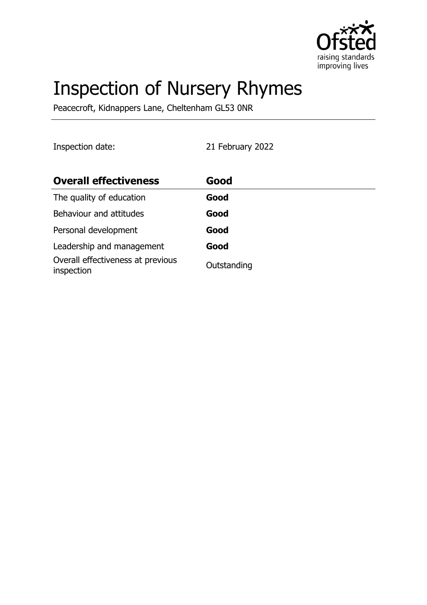

# Inspection of Nursery Rhymes

Peacecroft, Kidnappers Lane, Cheltenham GL53 0NR

Inspection date: 21 February 2022

| <b>Overall effectiveness</b>                    | Good        |
|-------------------------------------------------|-------------|
| The quality of education                        | Good        |
| Behaviour and attitudes                         | Good        |
| Personal development                            | Good        |
| Leadership and management                       | Good        |
| Overall effectiveness at previous<br>inspection | Outstanding |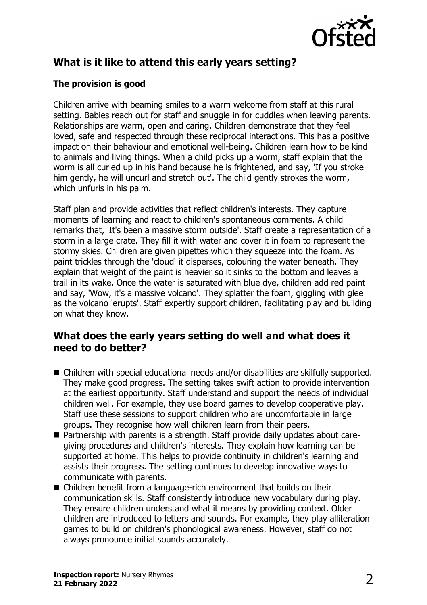

# **What is it like to attend this early years setting?**

## **The provision is good**

Children arrive with beaming smiles to a warm welcome from staff at this rural setting. Babies reach out for staff and snuggle in for cuddles when leaving parents. Relationships are warm, open and caring. Children demonstrate that they feel loved, safe and respected through these reciprocal interactions. This has a positive impact on their behaviour and emotional well-being. Children learn how to be kind to animals and living things. When a child picks up a worm, staff explain that the worm is all curled up in his hand because he is frightened, and say, 'If you stroke him gently, he will uncurl and stretch out'. The child gently strokes the worm, which unfurls in his palm.

Staff plan and provide activities that reflect children's interests. They capture moments of learning and react to children's spontaneous comments. A child remarks that, 'It's been a massive storm outside'. Staff create a representation of a storm in a large crate. They fill it with water and cover it in foam to represent the stormy skies. Children are given pipettes which they squeeze into the foam. As paint trickles through the 'cloud' it disperses, colouring the water beneath. They explain that weight of the paint is heavier so it sinks to the bottom and leaves a trail in its wake. Once the water is saturated with blue dye, children add red paint and say, 'Wow, it's a massive volcano'. They splatter the foam, giggling with glee as the volcano 'erupts'. Staff expertly support children, facilitating play and building on what they know.

## **What does the early years setting do well and what does it need to do better?**

- Children with special educational needs and/or disabilities are skilfully supported. They make good progress. The setting takes swift action to provide intervention at the earliest opportunity. Staff understand and support the needs of individual children well. For example, they use board games to develop cooperative play. Staff use these sessions to support children who are uncomfortable in large groups. They recognise how well children learn from their peers.
- Partnership with parents is a strength. Staff provide daily updates about caregiving procedures and children's interests. They explain how learning can be supported at home. This helps to provide continuity in children's learning and assists their progress. The setting continues to develop innovative ways to communicate with parents.
- Children benefit from a language-rich environment that builds on their communication skills. Staff consistently introduce new vocabulary during play. They ensure children understand what it means by providing context. Older children are introduced to letters and sounds. For example, they play alliteration games to build on children's phonological awareness. However, staff do not always pronounce initial sounds accurately.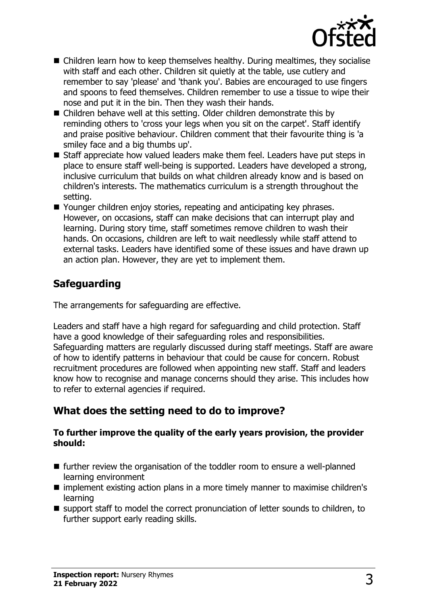

- $\blacksquare$  Children learn how to keep themselves healthy. During mealtimes, they socialise with staff and each other. Children sit quietly at the table, use cutlery and remember to say 'please' and 'thank you'. Babies are encouraged to use fingers and spoons to feed themselves. Children remember to use a tissue to wipe their nose and put it in the bin. Then they wash their hands.
- Children behave well at this setting. Older children demonstrate this by reminding others to 'cross your legs when you sit on the carpet'. Staff identify and praise positive behaviour. Children comment that their favourite thing is 'a smiley face and a big thumbs up'.
- Staff appreciate how valued leaders make them feel. Leaders have put steps in place to ensure staff well-being is supported. Leaders have developed a strong, inclusive curriculum that builds on what children already know and is based on children's interests. The mathematics curriculum is a strength throughout the setting.
- Younger children enjoy stories, repeating and anticipating key phrases. However, on occasions, staff can make decisions that can interrupt play and learning. During story time, staff sometimes remove children to wash their hands. On occasions, children are left to wait needlessly while staff attend to external tasks. Leaders have identified some of these issues and have drawn up an action plan. However, they are yet to implement them.

# **Safeguarding**

The arrangements for safeguarding are effective.

Leaders and staff have a high regard for safeguarding and child protection. Staff have a good knowledge of their safeguarding roles and responsibilities. Safeguarding matters are regularly discussed during staff meetings. Staff are aware of how to identify patterns in behaviour that could be cause for concern. Robust recruitment procedures are followed when appointing new staff. Staff and leaders know how to recognise and manage concerns should they arise. This includes how to refer to external agencies if required.

## **What does the setting need to do to improve?**

#### **To further improve the quality of the early years provision, the provider should:**

- $\blacksquare$  further review the organisation of the toddler room to ensure a well-planned learning environment
- $\blacksquare$  implement existing action plans in a more timely manner to maximise children's learning
- support staff to model the correct pronunciation of letter sounds to children, to further support early reading skills.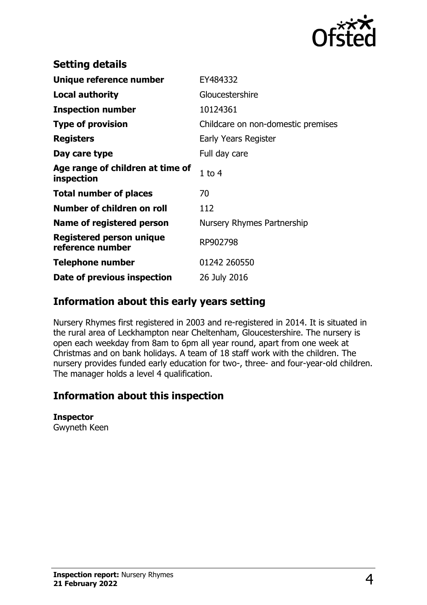

| <b>Setting details</b>                              |                                    |
|-----------------------------------------------------|------------------------------------|
| Unique reference number                             | EY484332                           |
| <b>Local authority</b>                              | Gloucestershire                    |
| <b>Inspection number</b>                            | 10124361                           |
| <b>Type of provision</b>                            | Childcare on non-domestic premises |
| <b>Registers</b>                                    | Early Years Register               |
| Day care type                                       | Full day care                      |
| Age range of children at time of<br>inspection      | $1$ to $4$                         |
| <b>Total number of places</b>                       | 70                                 |
| Number of children on roll                          | 112                                |
| Name of registered person                           | Nursery Rhymes Partnership         |
| <b>Registered person unique</b><br>reference number | RP902798                           |
| <b>Telephone number</b>                             | 01242 260550                       |
| Date of previous inspection                         | 26 July 2016                       |

## **Information about this early years setting**

Nursery Rhymes first registered in 2003 and re-registered in 2014. It is situated in the rural area of Leckhampton near Cheltenham, Gloucestershire. The nursery is open each weekday from 8am to 6pm all year round, apart from one week at Christmas and on bank holidays. A team of 18 staff work with the children. The nursery provides funded early education for two-, three- and four-year-old children. The manager holds a level 4 qualification.

## **Information about this inspection**

#### **Inspector**

Gwyneth Keen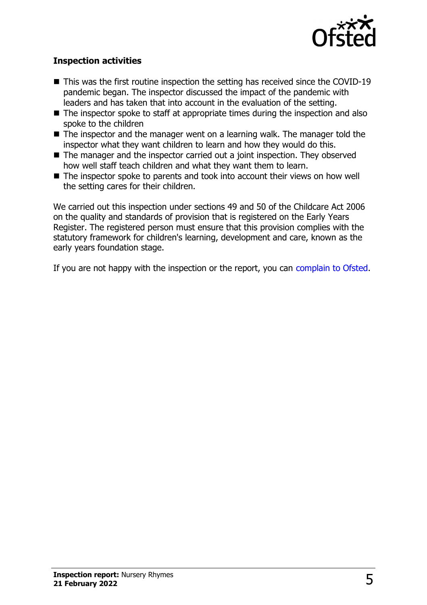

### **Inspection activities**

- $\blacksquare$  This was the first routine inspection the setting has received since the COVID-19 pandemic began. The inspector discussed the impact of the pandemic with leaders and has taken that into account in the evaluation of the setting.
- $\blacksquare$  The inspector spoke to staff at appropriate times during the inspection and also spoke to the children
- $\blacksquare$  The inspector and the manager went on a learning walk. The manager told the inspector what they want children to learn and how they would do this.
- $\blacksquare$  The manager and the inspector carried out a joint inspection. They observed how well staff teach children and what they want them to learn.
- $\blacksquare$  The inspector spoke to parents and took into account their views on how well the setting cares for their children.

We carried out this inspection under sections 49 and 50 of the Childcare Act 2006 on the quality and standards of provision that is registered on the Early Years Register. The registered person must ensure that this provision complies with the statutory framework for children's learning, development and care, known as the early years foundation stage.

If you are not happy with the inspection or the report, you can [complain to Ofsted](http://www.gov.uk/complain-ofsted-report).